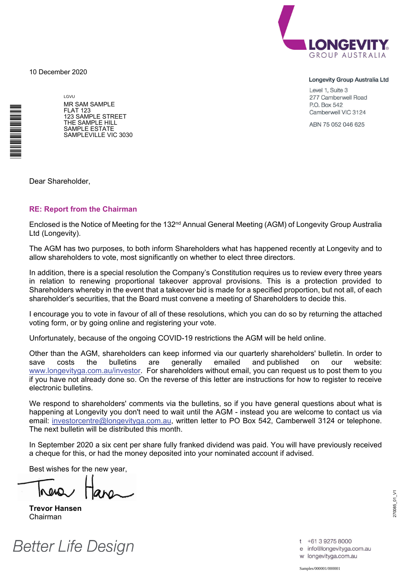10 December 2020



#### Longevity Group Australia Ltd

Level 1, Suite 3 277 Camberwell Road P.O. Box 542 Camberwell VIC 3124

ABN 75 052 046 625

LGVU MR SAM SAMPLE FLAT 123 123 SAMPLE STREET THE SAMPLE HILL SAMPLE ESTATE SAMPLEVILLE VIC 3030

Dear Shareholder,

\*<br>\* London<br>Timografia

#### **RE: Report from the Chairman**

Enclosed is the Notice of Meeting for the 132<sup>nd</sup> Annual General Meeting (AGM) of Longevity Group Australia Ltd (Longevity).

The AGM has two purposes, to both inform Shareholders what has happened recently at Longevity and to allow shareholders to vote, most significantly on whether to elect three directors.

In addition, there is a special resolution the Company's Constitution requires us to review every three years in relation to renewing proportional takeover approval provisions. This is a protection provided to Shareholders whereby in the event that a takeover bid is made for a specified proportion, but not all, of each shareholder's securities, that the Board must convene a meeting of Shareholders to decide this.

I encourage you to vote in favour of all of these resolutions, which you can do so by returning the attached voting form, or by going online and registering your vote.

Unfortunately, because of the ongoing COVID-19 restrictions the AGM will be held online.

Other than the AGM, shareholders can keep informed via our quarterly shareholders' bulletin. In order to save costs the bulletins are generally emailed and published on our website: www.longevityga.com.au/investor. For shareholders without email, you can request us to post them to you if you have not already done so. On the reverse of this letter are instructions for how to register to receive electronic bulletins.

We respond to shareholders' comments via the bulletins, so if you have general questions about what is happening at Longevity you don't need to wait until the AGM - instead you are welcome to contact us via email: investorcentre@longevityga.com.au, written letter to PO Box 542, Camberwell 3124 or telephone. The next bulletin will be distributed this month.

In September 2020 a six cent per share fully franked dividend was paid. You will have previously received a cheque for this, or had the money deposited into your nominated account if advised.

Best wishes for the new year,

**Trevor Hansen**  Chairman



270085\_01\_V1 70085\_01\_V1

t +61 3 9275 8000 e info@longevityga.com.au

w longevityga.com.au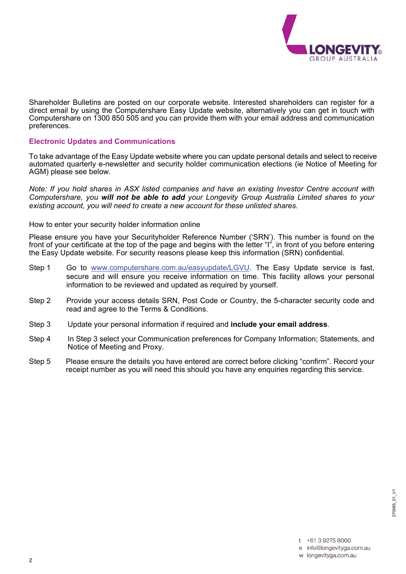

Shareholder Bulletins are posted on our corporate website. Interested shareholders can register for a direct email by using the Computershare Easy Update website, alternatively you can get in touch with Computershare on 1300 850 505 and you can provide them with your email address and communication preferences.

#### **Electronic Updates and Communications**

To take advantage of the Easy Update website where you can update personal details and select to receive automated quarterly e-newsletter and security holder communication elections (ie Notice of Meeting for AGM) please see below.

*Note: If you hold shares in ASX listed companies and have an existing Investor Centre account with Computershare, you will not be able to add your Longevity Group Australia Limited shares to your existing account, you will need to create a new account for these unlisted shares.* 

#### How to enter your security holder information online

Please ensure you have your Securityholder Reference Number ('SRN'). This number is found on the front of your certificate at the top of the page and begins with the letter "I", in front of you before entering the Easy Update website. For security reasons please keep this information (SRN) confidential.

- Step 1 Go to www.computershare.com.au/easyupdate/LGVU. The Easy Update service is fast, secure and will ensure you receive information on time. This facility allows your personal information to be reviewed and updated as required by yourself.
- Step 2 Provide your access details SRN, Post Code or Country, the 5-character security code and read and agree to the Terms & Conditions.
- Step 3 Update your personal information if required and **include your email address**.
- Step 4 In Step 3 select your Communication preferences for Company Information; Statements, and Notice of Meeting and Proxy.
- Step 5 Please ensure the details you have entered are correct before clicking "confirm". Record your receipt number as you will need this should you have any enquiries regarding this service.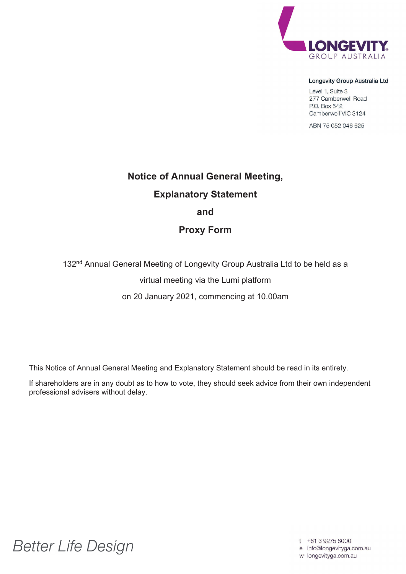

#### Longevity Group Australia Ltd

Level 1, Suite 3 277 Camberwell Road P.O. Box 542 Camberwell VIC 3124

ABN 75 052 046 625

# **Notice of Annual General Meeting, Explanatory Statement and**

# **Proxy Form**

132<sup>nd</sup> Annual General Meeting of Longevity Group Australia Ltd to be held as a

virtual meeting via the Lumi platform

on 20 January 2021, commencing at 10.00am

This Notice of Annual General Meeting and Explanatory Statement should be read in its entirety.

If shareholders are in any doubt as to how to vote, they should seek advice from their own independent professional advisers without delay.

**Better Life Design** 

t +61 3 9275 8000

e info@longevityga.com.au

w longevityga.com.au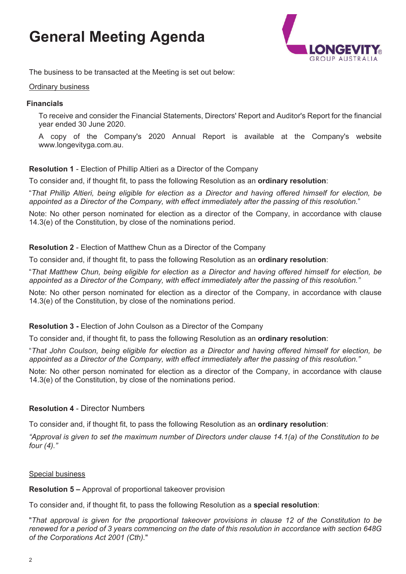# **General Meeting Agenda**



The business to be transacted at the Meeting is set out below:

#### Ordinary business

#### **Financials**

To receive and consider the Financial Statements, Directors' Report and Auditor's Report for the financial year ended 30 June 2020.

A copy of the Company's 2020 Annual Report is available at the Company's website www.longevityga.com.au.

#### **Resolution 1** - Election of Phillip Altieri as a Director of the Company

To consider and, if thought fit, to pass the following Resolution as an **ordinary resolution**:

"*That Phillip Altieri, being eligible for election as a Director and having offered himself for election, be appointed as a Director of the Company, with effect immediately after the passing of this resolution.*"

Note: No other person nominated for election as a director of the Company, in accordance with clause 14.3(e) of the Constitution, by close of the nominations period.

#### **Resolution 2** - Election of Matthew Chun as a Director of the Company

To consider and, if thought fit, to pass the following Resolution as an **ordinary resolution**:

"*That Matthew Chun, being eligible for election as a Director and having offered himself for election, be appointed as a Director of the Company, with effect immediately after the passing of this resolution."* 

Note: No other person nominated for election as a director of the Company, in accordance with clause 14.3(e) of the Constitution, by close of the nominations period.

#### **Resolution 3 -** Election of John Coulson as a Director of the Company

To consider and, if thought fit, to pass the following Resolution as an **ordinary resolution**:

"*That John Coulson, being eligible for election as a Director and having offered himself for election, be appointed as a Director of the Company, with effect immediately after the passing of this resolution."* 

Note: No other person nominated for election as a director of the Company, in accordance with clause 14.3(e) of the Constitution, by close of the nominations period.

#### **Resolution 4** - Director Numbers

To consider and, if thought fit, to pass the following Resolution as an **ordinary resolution**:

*"Approval is given to set the maximum number of Directors under clause 14.1(a) of the Constitution to be four (4)."* 

#### Special business

**Resolution 5 –** Approval of proportional takeover provision

To consider and, if thought fit, to pass the following Resolution as a **special resolution**:

"*That approval is given for the proportional takeover provisions in clause 12 of the Constitution to be renewed for a period of 3 years commencing on the date of this resolution in accordance with section 648G of the Corporations Act 2001 (Cth).*"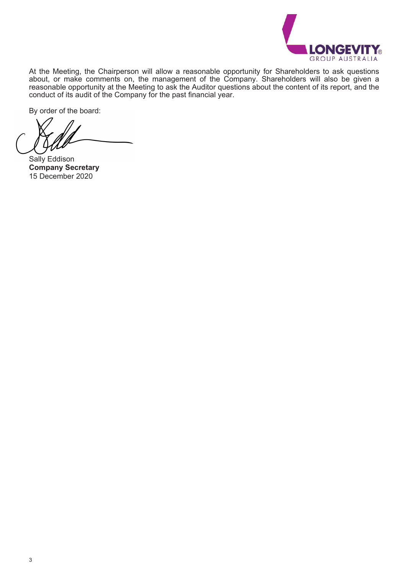

At the Meeting, the Chairperson will allow a reasonable opportunity for Shareholders to ask questions about, or make comments on, the management of the Company. Shareholders will also be given a reasonable opportunity at the Meeting to ask the Auditor questions about the content of its report, and the conduct of its audit of the Company for the past financial year.

By order of the board:

Sally Eddison **Company Secretary**  15 December 2020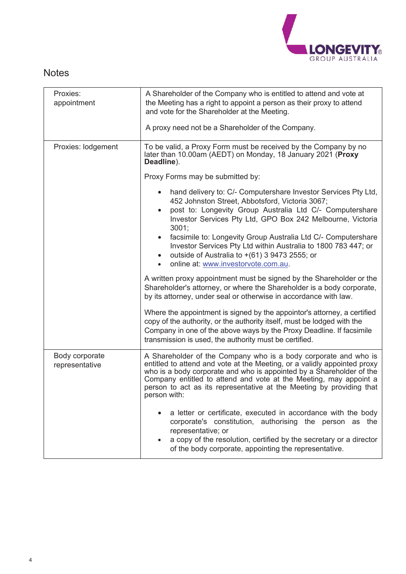

# **Notes**

| Proxies:<br>appointment          | A Shareholder of the Company who is entitled to attend and vote at<br>the Meeting has a right to appoint a person as their proxy to attend<br>and vote for the Shareholder at the Meeting.<br>A proxy need not be a Shareholder of the Company.                                                                                                                                                                                                       |
|----------------------------------|-------------------------------------------------------------------------------------------------------------------------------------------------------------------------------------------------------------------------------------------------------------------------------------------------------------------------------------------------------------------------------------------------------------------------------------------------------|
| Proxies: lodgement               | To be valid, a Proxy Form must be received by the Company by no<br>later than 10.00am (AEDT) on Monday, 18 January 2021 (Proxy<br>Deadline).                                                                                                                                                                                                                                                                                                          |
|                                  | Proxy Forms may be submitted by:                                                                                                                                                                                                                                                                                                                                                                                                                      |
|                                  | hand delivery to: C/- Computershare Investor Services Pty Ltd,<br>452 Johnston Street, Abbotsford, Victoria 3067;<br>post to: Longevity Group Australia Ltd C/- Computershare<br>Investor Services Pty Ltd, GPO Box 242 Melbourne, Victoria<br>3001;<br>facsimile to: Longevity Group Australia Ltd C/- Computershare<br>$\bullet$<br>Investor Services Pty Ltd within Australia to 1800 783 447; or<br>outside of Australia to +(61) 3 9473 2555; or |
|                                  | online at: www.investorvote.com.au.                                                                                                                                                                                                                                                                                                                                                                                                                   |
|                                  | A written proxy appointment must be signed by the Shareholder or the<br>Shareholder's attorney, or where the Shareholder is a body corporate,<br>by its attorney, under seal or otherwise in accordance with law.                                                                                                                                                                                                                                     |
|                                  | Where the appointment is signed by the appointor's attorney, a certified<br>copy of the authority, or the authority itself, must be lodged with the<br>Company in one of the above ways by the Proxy Deadline. If facsimile<br>transmission is used, the authority must be certified.                                                                                                                                                                 |
| Body corporate<br>representative | A Shareholder of the Company who is a body corporate and who is<br>entitled to attend and vote at the Meeting, or a validly appointed proxy<br>who is a body corporate and who is appointed by a Shareholder of the<br>Company entitled to attend and vote at the Meeting, may appoint a<br>person to act as its representative at the Meeting by providing that<br>person with:                                                                      |
|                                  | a letter or certificate, executed in accordance with the body<br>corporate's constitution, authorising the person as the<br>representative; or<br>a copy of the resolution, certified by the secretary or a director<br>of the body corporate, appointing the representative.                                                                                                                                                                         |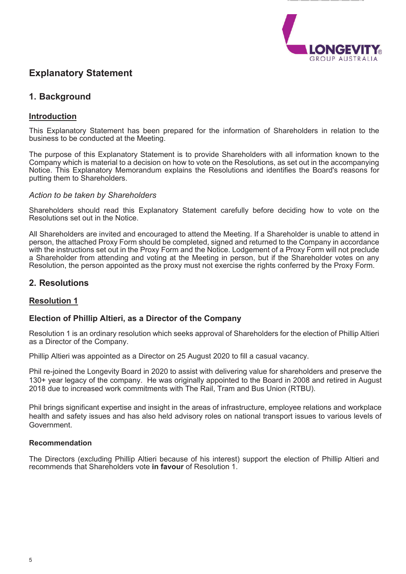

# **Explanatory Statement**

## **1. Background**

### **Introduction**

This Explanatory Statement has been prepared for the information of Shareholders in relation to the business to be conducted at the Meeting.

The purpose of this Explanatory Statement is to provide Shareholders with all information known to the Company which is material to a decision on how to vote on the Resolutions, as set out in the accompanying Notice. This Explanatory Memorandum explains the Resolutions and identifies the Board's reasons for putting them to Shareholders.

#### *Action to be taken by Shareholders*

Shareholders should read this Explanatory Statement carefully before deciding how to vote on the Resolutions set out in the Notice.

All Shareholders are invited and encouraged to attend the Meeting. If a Shareholder is unable to attend in person, the attached Proxy Form should be completed, signed and returned to the Company in accordance with the instructions set out in the Proxy Form and the Notice. Lodgement of a Proxy Form will not preclude a Shareholder from attending and voting at the Meeting in person, but if the Shareholder votes on any Resolution, the person appointed as the proxy must not exercise the rights conferred by the Proxy Form.

### **2. Resolutions**

### **Resolution 1**

#### **Election of Phillip Altieri, as a Director of the Company**

Resolution 1 is an ordinary resolution which seeks approval of Shareholders for the election of Phillip Altieri as a Director of the Company.

Phillip Altieri was appointed as a Director on 25 August 2020 to fill a casual vacancy.

Phil re-joined the Longevity Board in 2020 to assist with delivering value for shareholders and preserve the 130+ year legacy of the company. He was originally appointed to the Board in 2008 and retired in August 2018 due to increased work commitments with The Rail, Tram and Bus Union (RTBU).

Phil brings significant expertise and insight in the areas of infrastructure, employee relations and workplace health and safety issues and has also held advisory roles on national transport issues to various levels of Government.

#### **Recommendation**

The Directors (excluding Phillip Altieri because of his interest) support the election of Phillip Altieri and recommends that Shareholders vote **in favour** of Resolution 1.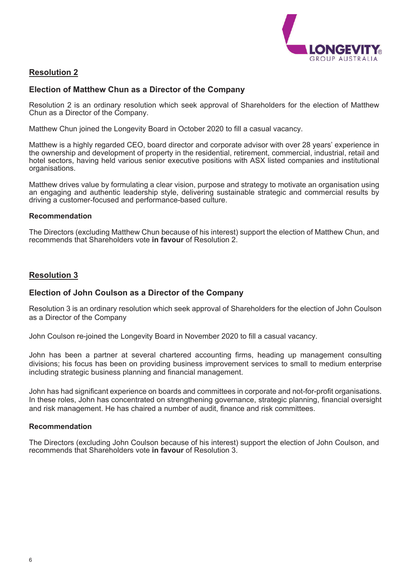

### **Resolution 2**

#### **Election of Matthew Chun as a Director of the Company**

Resolution 2 is an ordinary resolution which seek approval of Shareholders for the election of Matthew Chun as a Director of the Company.

Matthew Chun joined the Longevity Board in October 2020 to fill a casual vacancy.

Matthew is a highly regarded CEO, board director and corporate advisor with over 28 years' experience in the ownership and development of property in the residential, retirement, commercial, industrial, retail and hotel sectors, having held various senior executive positions with ASX listed companies and institutional organisations.

Matthew drives value by formulating a clear vision, purpose and strategy to motivate an organisation using an engaging and authentic leadership style, delivering sustainable strategic and commercial results by driving a customer-focused and performance-based culture.

#### **Recommendation**

The Directors (excluding Matthew Chun because of his interest) support the election of Matthew Chun, and recommends that Shareholders vote **in favour** of Resolution 2.

### **Resolution 3**

#### **Election of John Coulson as a Director of the Company**

Resolution 3 is an ordinary resolution which seek approval of Shareholders for the election of John Coulson as a Director of the Company

John Coulson re-joined the Longevity Board in November 2020 to fill a casual vacancy.

John has been a partner at several chartered accounting firms, heading up management consulting divisions; his focus has been on providing business improvement services to small to medium enterprise including strategic business planning and financial management.

John has had significant experience on boards and committees in corporate and not-for-profit organisations. In these roles, John has concentrated on strengthening governance, strategic planning, financial oversight and risk management. He has chaired a number of audit, finance and risk committees.

#### **Recommendation**

The Directors (excluding John Coulson because of his interest) support the election of John Coulson, and recommends that Shareholders vote **in favour** of Resolution 3.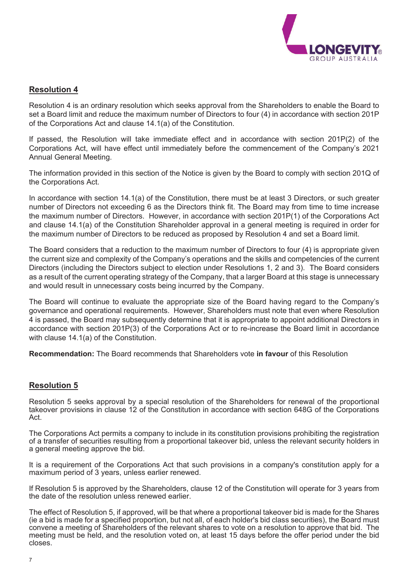

### **Resolution 4**

Resolution 4 is an ordinary resolution which seeks approval from the Shareholders to enable the Board to set a Board limit and reduce the maximum number of Directors to four (4) in accordance with section 201P of the Corporations Act and clause 14.1(a) of the Constitution.

If passed, the Resolution will take immediate effect and in accordance with section 201P(2) of the Corporations Act, will have effect until immediately before the commencement of the Company's 2021 Annual General Meeting.

The information provided in this section of the Notice is given by the Board to comply with section 201Q of the Corporations Act.

In accordance with section 14.1(a) of the Constitution, there must be at least 3 Directors, or such greater number of Directors not exceeding 6 as the Directors think fit. The Board may from time to time increase the maximum number of Directors. However, in accordance with section 201P(1) of the Corporations Act and clause 14.1(a) of the Constitution Shareholder approval in a general meeting is required in order for the maximum number of Directors to be reduced as proposed by Resolution 4 and set a Board limit.

The Board considers that a reduction to the maximum number of Directors to four (4) is appropriate given the current size and complexity of the Company's operations and the skills and competencies of the current Directors (including the Directors subject to election under Resolutions 1, 2 and 3). The Board considers as a result of the current operating strategy of the Company, that a larger Board at this stage is unnecessary and would result in unnecessary costs being incurred by the Company.

The Board will continue to evaluate the appropriate size of the Board having regard to the Company's governance and operational requirements. However, Shareholders must note that even where Resolution 4 is passed, the Board may subsequently determine that it is appropriate to appoint additional Directors in accordance with section 201P(3) of the Corporations Act or to re-increase the Board limit in accordance with clause 14.1(a) of the Constitution.

**Recommendation:** The Board recommends that Shareholders vote **in favour** of this Resolution

### **Resolution 5**

Resolution 5 seeks approval by a special resolution of the Shareholders for renewal of the proportional takeover provisions in clause 12 of the Constitution in accordance with section 648G of the Corporations Act.

The Corporations Act permits a company to include in its constitution provisions prohibiting the registration of a transfer of securities resulting from a proportional takeover bid, unless the relevant security holders in a general meeting approve the bid.

It is a requirement of the Corporations Act that such provisions in a company's constitution apply for a maximum period of 3 years, unless earlier renewed.

If Resolution 5 is approved by the Shareholders, clause 12 of the Constitution will operate for 3 years from the date of the resolution unless renewed earlier.

The effect of Resolution 5, if approved, will be that where a proportional takeover bid is made for the Shares (ie a bid is made for a specified proportion, but not all, of each holder's bid class securities), the Board must convene a meeting of Shareholders of the relevant shares to vote on a resolution to approve that bid. The meeting must be held, and the resolution voted on, at least 15 days before the offer period under the bid closes.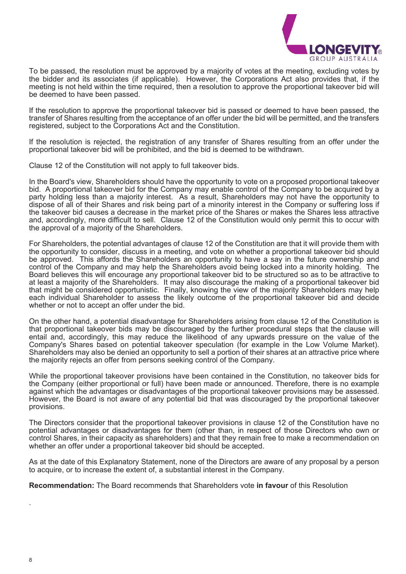

To be passed, the resolution must be approved by a majority of votes at the meeting, excluding votes by the bidder and its associates (if applicable). However, the Corporations Act also provides that, if the meeting is not held within the time required, then a resolution to approve the proportional takeover bid will be deemed to have been passed.

If the resolution to approve the proportional takeover bid is passed or deemed to have been passed, the transfer of Shares resulting from the acceptance of an offer under the bid will be permitted, and the transfers registered, subject to the Corporations Act and the Constitution.

If the resolution is rejected, the registration of any transfer of Shares resulting from an offer under the proportional takeover bid will be prohibited, and the bid is deemed to be withdrawn.

Clause 12 of the Constitution will not apply to full takeover bids.

In the Board's view, Shareholders should have the opportunity to vote on a proposed proportional takeover bid. A proportional takeover bid for the Company may enable control of the Company to be acquired by a party holding less than a majority interest. As a result, Shareholders may not have the opportunity to dispose of all of their Shares and risk being part of a minority interest in the Company or suffering loss if the takeover bid causes a decrease in the market price of the Shares or makes the Shares less attractive and, accordingly, more difficult to sell. Clause 12 of the Constitution would only permit this to occur with the approval of a majority of the Shareholders.

For Shareholders, the potential advantages of clause 12 of the Constitution are that it will provide them with the opportunity to consider, discuss in a meeting, and vote on whether a proportional takeover bid should be approved. This affords the Shareholders an opportunity to have a say in the future ownership and control of the Company and may help the Shareholders avoid being locked into a minority holding. The Board believes this will encourage any proportional takeover bid to be structured so as to be attractive to at least a majority of the Shareholders. It may also discourage the making of a proportional takeover bid that might be considered opportunistic. Finally, knowing the view of the majority Shareholders may help each individual Shareholder to assess the likely outcome of the proportional takeover bid and decide whether or not to accept an offer under the bid.

On the other hand, a potential disadvantage for Shareholders arising from clause 12 of the Constitution is that proportional takeover bids may be discouraged by the further procedural steps that the clause will entail and, accordingly, this may reduce the likelihood of any upwards pressure on the value of the Company's Shares based on potential takeover speculation (for example in the Low Volume Market). Shareholders may also be denied an opportunity to sell a portion of their shares at an attractive price where the majority rejects an offer from persons seeking control of the Company.

While the proportional takeover provisions have been contained in the Constitution, no takeover bids for the Company (either proportional or full) have been made or announced. Therefore, there is no example against which the advantages or disadvantages of the proportional takeover provisions may be assessed. However, the Board is not aware of any potential bid that was discouraged by the proportional takeover provisions.

The Directors consider that the proportional takeover provisions in clause 12 of the Constitution have no potential advantages or disadvantages for them (other than, in respect of those Directors who own or control Shares, in their capacity as shareholders) and that they remain free to make a recommendation on whether an offer under a proportional takeover bid should be accepted.

As at the date of this Explanatory Statement, none of the Directors are aware of any proposal by a person to acquire, or to increase the extent of, a substantial interest in the Company.

**Recommendation:** The Board recommends that Shareholders vote **in favour** of this Resolution

.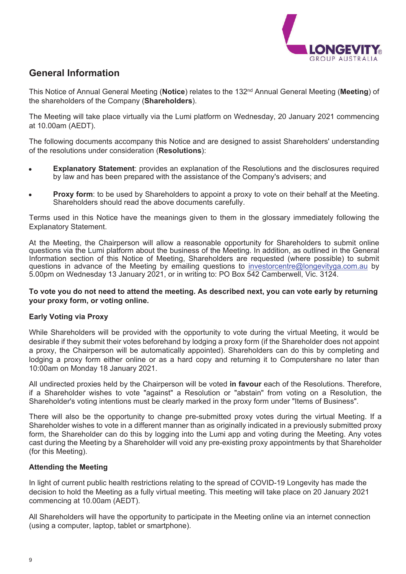

# **General Information**

This Notice of Annual General Meeting (**Notice**) relates to the 132nd Annual General Meeting (**Meeting**) of the shareholders of the Company (**Shareholders**).

The Meeting will take place virtually via the Lumi platform on Wednesday, 20 January 2021 commencing at 10.00am (AEDT).

The following documents accompany this Notice and are designed to assist Shareholders' understanding of the resolutions under consideration (**Resolutions**):

- **Explanatory Statement:** provides an explanation of the Resolutions and the disclosures required by law and has been prepared with the assistance of the Company's advisers; and
- **Proxy form**: to be used by Shareholders to appoint a proxy to vote on their behalf at the Meeting. Shareholders should read the above documents carefully.

Terms used in this Notice have the meanings given to them in the glossary immediately following the Explanatory Statement.

At the Meeting, the Chairperson will allow a reasonable opportunity for Shareholders to submit online questions via the Lumi platform about the business of the Meeting. In addition, as outlined in the General Information section of this Notice of Meeting, Shareholders are requested (where possible) to submit questions in advance of the Meeting by emailing questions to investorcentre@longevityga.com.au by 5.00pm on Wednesday 13 January 2021, or in writing to: PO Box 542 Camberwell, Vic. 3124.

#### **To vote you do not need to attend the meeting. As described next, you can vote early by returning your proxy form, or voting online.**

#### **Early Voting via Proxy**

While Shareholders will be provided with the opportunity to vote during the virtual Meeting, it would be desirable if they submit their votes beforehand by lodging a proxy form (if the Shareholder does not appoint a proxy, the Chairperson will be automatically appointed). Shareholders can do this by completing and lodging a proxy form either online or as a hard copy and returning it to Computershare no later than 10:00am on Monday 18 January 2021.

All undirected proxies held by the Chairperson will be voted **in favour** each of the Resolutions. Therefore, if a Shareholder wishes to vote "against" a Resolution or "abstain" from voting on a Resolution, the Shareholder's voting intentions must be clearly marked in the proxy form under "Items of Business".

There will also be the opportunity to change pre-submitted proxy votes during the virtual Meeting. If a Shareholder wishes to vote in a different manner than as originally indicated in a previously submitted proxy form, the Shareholder can do this by logging into the Lumi app and voting during the Meeting. Any votes cast during the Meeting by a Shareholder will void any pre-existing proxy appointments by that Shareholder (for this Meeting).

#### **Attending the Meeting**

In light of current public health restrictions relating to the spread of COVID-19 Longevity has made the decision to hold the Meeting as a fully virtual meeting. This meeting will take place on 20 January 2021 commencing at 10.00am (AEDT).

All Shareholders will have the opportunity to participate in the Meeting online via an internet connection (using a computer, laptop, tablet or smartphone).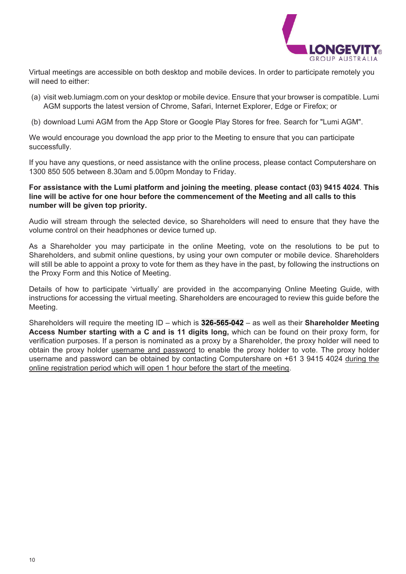

Virtual meetings are accessible on both desktop and mobile devices. In order to participate remotely you will need to either:

- (a) visit web.lumiagm.com on your desktop or mobile device. Ensure that your browser is compatible. Lumi AGM supports the latest version of Chrome, Safari, Internet Explorer, Edge or Firefox; or
- (b) download Lumi AGM from the App Store or Google Play Stores for free. Search for "Lumi AGM".

We would encourage you download the app prior to the Meeting to ensure that you can participate successfully.

If you have any questions, or need assistance with the online process, please contact Computershare on 1300 850 505 between 8.30am and 5.00pm Monday to Friday.

#### **For assistance with the Lumi platform and joining the meeting**, **please contact (03) 9415 4024**. **This line will be active for one hour before the commencement of the Meeting and all calls to this number will be given top priority.**

Audio will stream through the selected device, so Shareholders will need to ensure that they have the volume control on their headphones or device turned up.

As a Shareholder you may participate in the online Meeting, vote on the resolutions to be put to Shareholders, and submit online questions, by using your own computer or mobile device. Shareholders will still be able to appoint a proxy to vote for them as they have in the past, by following the instructions on the Proxy Form and this Notice of Meeting.

Details of how to participate 'virtually' are provided in the accompanying Online Meeting Guide, with instructions for accessing the virtual meeting. Shareholders are encouraged to review this guide before the Meeting.

Shareholders will require the meeting ID – which is **326-565-042** – as well as their **Shareholder Meeting Access Number starting with a C and is 11 digits long,** which can be found on their proxy form, for verification purposes. If a person is nominated as a proxy by a Shareholder, the proxy holder will need to obtain the proxy holder username and password to enable the proxy holder to vote. The proxy holder username and password can be obtained by contacting Computershare on +61 3 9415 4024 during the online registration period which will open 1 hour before the start of the meeting.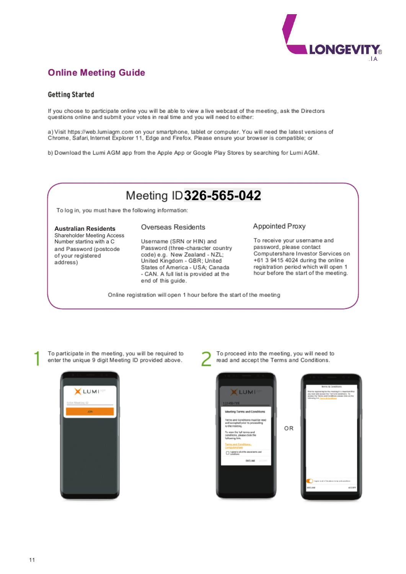

# **Online Meeting Guide**

#### **Getting Started**

If you choose to participate online you will be able to view a live webcast of the meeting, ask the Directors questions online and submit your votes in real time and you will need to either:

a) Visit https://web.lumiagm.com on your smartphone, tablet or computer. You will need the latest versions of Chrome, Safari, Internet Explorer 11, Edge and Firefox. Please ensure your browser is compatible; or

b) Download the Lumi AGM app from the Apple App or Google Play Stores by searching for Lumi AGM.



To log in, you must have the following information:

#### **Australian Residents**

Shareholder Meeting Access Number starting with a C and Password (postcode of your registered address)

#### Overseas Residents

Username (SRN or HIN) and Password (three-character country code) e.g. New Zealand - NZL; United Kingdom - GBR; United States of America - USA; Canada - CAN. A full list is provided at the end of this guide.

#### Appointed Proxy

To receive your username and password, please contact Computershare Investor Services on +61 3 9415 4024 during the online registration period which will open 1 hour before the start of the meeting.

Online registration will open 1 hour before the start of the meeting

To participate in the meeting, you will be required to enter the unique 9 digit Meeting ID provided above.



To proceed into the meeting, you will need to read and accept the Terms and Conditions.